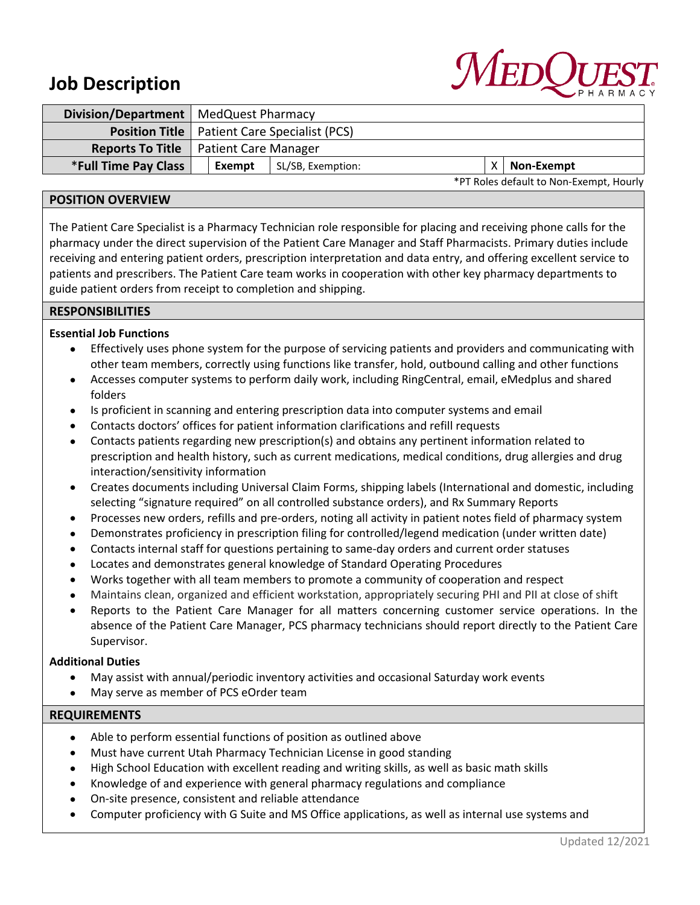# **Job Description**



| Division/Department   MedQuest Pharmacy |                                                       |                   |  |                                         |
|-----------------------------------------|-------------------------------------------------------|-------------------|--|-----------------------------------------|
|                                         | <b>Position Title</b>   Patient Care Specialist (PCS) |                   |  |                                         |
| <b>Reports To Title</b>                 | <b>Patient Care Manager</b>                           |                   |  |                                         |
| <b>*Full Time Pay Class</b>             | Exempt                                                | SL/SB, Exemption: |  | <b>Non-Exempt</b>                       |
|                                         |                                                       |                   |  | *PT Roles default to Non-Exempt. Hourly |

## **POSITION OVERVIEW**

The Patient Care Specialist is a Pharmacy Technician role responsible for placing and receiving phone calls for the pharmacy under the direct supervision of the Patient Care Manager and Staff Pharmacists. Primary duties include receiving and entering patient orders, prescription interpretation and data entry, and offering excellent service to patients and prescribers. The Patient Care team works in cooperation with other key pharmacy departments to guide patient orders from receipt to completion and shipping.

## **RESPONSIBILITIES**

# **Essential Job Functions**

- Effectively uses phone system for the purpose of servicing patients and providers and communicating with other team members, correctly using functions like transfer, hold, outbound calling and other functions
- Accesses computer systems to perform daily work, including RingCentral, email, eMedplus and shared folders
- Is proficient in scanning and entering prescription data into computer systems and email
- Contacts doctors' offices for patient information clarifications and refill requests
- Contacts patients regarding new prescription(s) and obtains any pertinent information related to prescription and health history, such as current medications, medical conditions, drug allergies and drug interaction/sensitivity information
- Creates documents including Universal Claim Forms, shipping labels (International and domestic, including selecting "signature required" on all controlled substance orders), and Rx Summary Reports
- Processes new orders, refills and pre-orders, noting all activity in patient notes field of pharmacy system
- Demonstrates proficiency in prescription filing for controlled/legend medication (under written date)
- Contacts internal staff for questions pertaining to same-day orders and current order statuses
- Locates and demonstrates general knowledge of Standard Operating Procedures
- Works together with all team members to promote a community of cooperation and respect
- Maintains clean, organized and efficient workstation, appropriately securing PHI and PII at close of shift
- Reports to the Patient Care Manager for all matters concerning customer service operations. In the absence of the Patient Care Manager, PCS pharmacy technicians should report directly to the Patient Care Supervisor.

### **Additional Duties**

- May assist with annual/periodic inventory activities and occasional Saturday work events
- May serve as member of PCS eOrder team

### **REQUIREMENTS**

- Able to perform essential functions of position as outlined above
- Must have current Utah Pharmacy Technician License in good standing
- High School Education with excellent reading and writing skills, as well as basic math skills
- Knowledge of and experience with general pharmacy regulations and compliance
- On-site presence, consistent and reliable attendance
- Computer proficiency with G Suite and MS Office applications, as well as internal use systems and